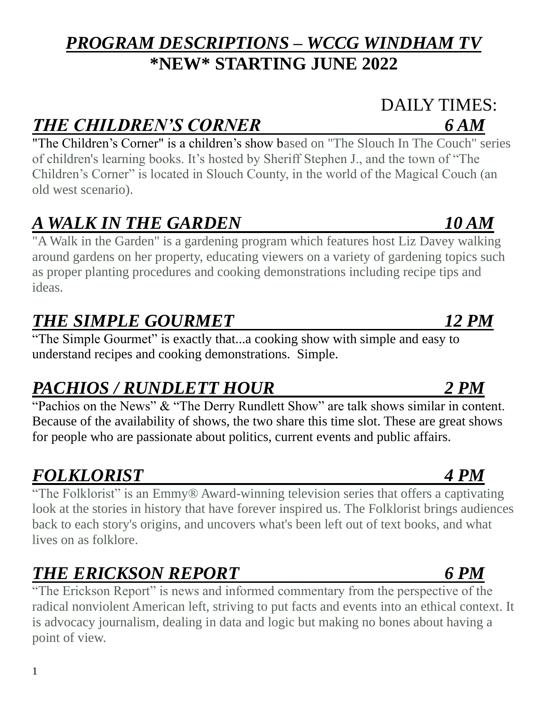### *PROGRAM DESCRIPTIONS – WCCG WINDHAM TV* **\*NEW\* STARTING JUNE 2022**

# *THE CHILDREN'S CORNER 6 AM*

"The Children's Corner" is a children's show based on "The Slouch In The Couch" series of children's learning books. It's hosted by Sheriff Stephen J., and the town of "The Children's Corner" is located in Slouch County, in the world of the Magical Couch (an old west scenario).

### *A WALK IN THE GARDEN 10 AM*

"A Walk in the Garden" is a gardening program which features host Liz Davey walking around gardens on her property, educating viewers on a variety of gardening topics such as proper planting procedures and cooking demonstrations including recipe tips and ideas.

# *THE SIMPLE GOURMET 12 PM*

"The Simple Gourmet" is exactly that...a cooking show with simple and easy to understand recipes and cooking demonstrations. Simple.

## *PACHIOS / RUNDLETT HOUR 2 PM*

"Pachios on the News" & "The Derry Rundlett Show" are talk shows similar in content. Because of the availability of shows, the two share this time slot. These are great shows for people who are passionate about politics, current events and public affairs.

## *FOLKLORIST 4 PM*

"The Folklorist" is an Emmy® Award-winning television series that offers a captivating look at the stories in history that have forever inspired us. The Folklorist brings audiences back to each story's origins, and uncovers what's been left out of text books, and what lives on as folklore.

## *THE ERICKSON REPORT 6 PM*

"The Erickson Report" is news and informed commentary from the perspective of the radical nonviolent American left, striving to put facts and events into an ethical context. It is advocacy journalism, dealing in data and logic but making no bones about having a point of view.

# DAILY TIMES:

1